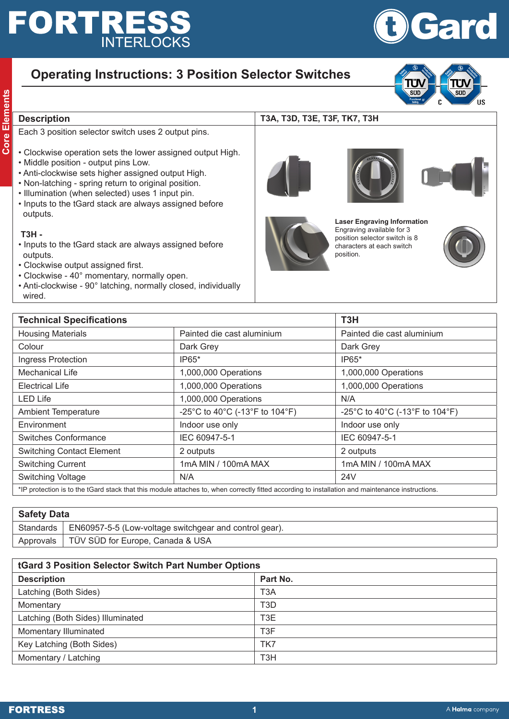# **FORTRES: INTERLOCKS**

## **Operating Instructions: 3 Position Selector Switches**

- **Conserveright Cone Election**<br> **Conserveright Cone Election**<br> **Core Election**<br> **Conserveright Conserveright Cone Election**<br> **Conserveright Cone Election**<br> **Conserveright Cone Election**<br> **Conserveright Cone Election**<br> **Cons** Each 3 position selector switch uses 2 output pins.
	- Clockwise operation sets the lower assigned output High.
	- Middle position output pins Low.
	- Anti-clockwise sets higher assigned output High.
	- Non-latching spring return to original position.
	- Illumination (when selected) uses 1 input pin.
	- Inputs to the tGard stack are always assigned before outputs.

### **T3H -**

- Inputs to the tGard stack are always assigned before outputs.
- Clockwise output assigned first.
- Clockwise 40° momentary, normally open.
- Anti-clockwise 90° latching, normally closed, individually wired.







 $\overline{\text{cm}}$ 

์ IIS



**Laser Engraving Information** Engraving available for 3 position selector switch is 8 characters at each switch position.



| <b>Technical Specifications</b>                                                                                                               |                                | T <sub>3</sub> H               |  |  |
|-----------------------------------------------------------------------------------------------------------------------------------------------|--------------------------------|--------------------------------|--|--|
| <b>Housing Materials</b>                                                                                                                      | Painted die cast aluminium     | Painted die cast aluminium     |  |  |
| Colour                                                                                                                                        | Dark Grey                      | Dark Grey                      |  |  |
| Ingress Protection                                                                                                                            | $IP65*$                        | IP65*                          |  |  |
| <b>Mechanical Life</b>                                                                                                                        | 1,000,000 Operations           | 1,000,000 Operations           |  |  |
| <b>Electrical Life</b>                                                                                                                        | 1,000,000 Operations           | 1,000,000 Operations           |  |  |
| <b>LED Life</b>                                                                                                                               | 1,000,000 Operations           | N/A                            |  |  |
| <b>Ambient Temperature</b>                                                                                                                    | -25°C to 40°C (-13°F to 104°F) | -25°C to 40°C (-13°F to 104°F) |  |  |
| Environment                                                                                                                                   | Indoor use only                | Indoor use only                |  |  |
| <b>Switches Conformance</b>                                                                                                                   | IEC 60947-5-1                  | IEC 60947-5-1                  |  |  |
| <b>Switching Contact Element</b>                                                                                                              | 2 outputs                      | 2 outputs                      |  |  |
| <b>Switching Current</b>                                                                                                                      | 1mA MIN / 100mA MAX            | 1mA MIN / 100mA MAX            |  |  |
| Switching Voltage                                                                                                                             | N/A                            | 24V                            |  |  |
| *ID protogion is to the tCard staak that this module attaches to when correctly fitted cooprains to installation and maintenance instructions |                                |                                |  |  |

\*IP protection is to the tGard stack that this module attaches to, when correctly fitted according to installation and maintenance instructions.

| <b>Safety Data</b> |                                                                    |  |  |  |
|--------------------|--------------------------------------------------------------------|--|--|--|
|                    | Standards   EN60957-5-5 (Low-voltage switchgear and control gear). |  |  |  |
|                    | Approvals   TÜV SÜD for Europe, Canada & USA                       |  |  |  |
|                    |                                                                    |  |  |  |

| <b>tGard 3 Position Selector Switch Part Number Options</b> |                  |  |  |  |
|-------------------------------------------------------------|------------------|--|--|--|
| <b>Description</b>                                          | Part No.         |  |  |  |
| Latching (Both Sides)                                       | T <sub>3</sub> A |  |  |  |
| Momentary                                                   | T <sub>3</sub> D |  |  |  |
| Latching (Both Sides) Illuminated                           | T <sub>3</sub> E |  |  |  |
| Momentary Illuminated                                       | T <sub>3</sub> F |  |  |  |
| Key Latching (Both Sides)                                   | TK7              |  |  |  |
| Momentary / Latching                                        | T <sub>3</sub> H |  |  |  |



Č

 $\overline{err}$ 

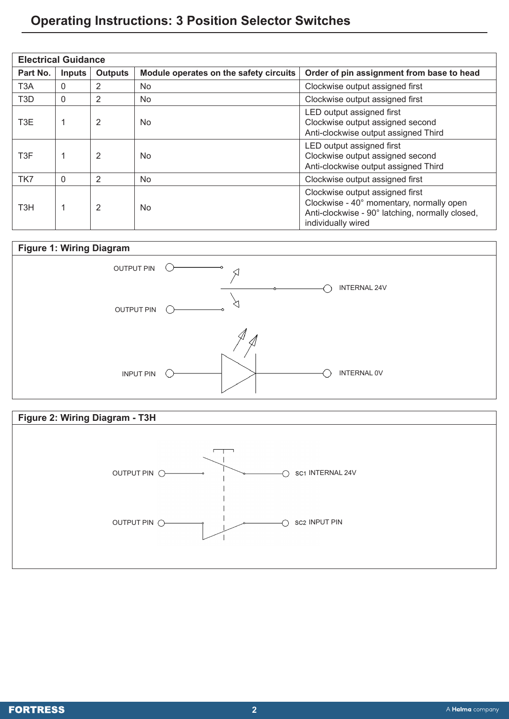## **Operating Instructions: 3 Position Selector Switches**

| <b>Electrical Guidance</b> |               |                |                                        |                                                                                                                                                      |  |
|----------------------------|---------------|----------------|----------------------------------------|------------------------------------------------------------------------------------------------------------------------------------------------------|--|
| Part No.                   | <b>Inputs</b> | <b>Outputs</b> | Module operates on the safety circuits | Order of pin assignment from base to head                                                                                                            |  |
| T <sub>3</sub> A           | $\mathbf{0}$  | 2              | No.                                    | Clockwise output assigned first                                                                                                                      |  |
| T3D                        | $\mathbf{0}$  | 2              | No.                                    | Clockwise output assigned first                                                                                                                      |  |
| T3E                        |               | 2              | No.                                    | LED output assigned first<br>Clockwise output assigned second<br>Anti-clockwise output assigned Third                                                |  |
| T3F                        | 1             | 2              | No.                                    | LED output assigned first<br>Clockwise output assigned second<br>Anti-clockwise output assigned Third                                                |  |
| TK7                        | $\Omega$      | 2              | No                                     | Clockwise output assigned first                                                                                                                      |  |
| T <sub>3</sub> H           | 1             | 2              | No.                                    | Clockwise output assigned first<br>Clockwise - 40° momentary, normally open<br>Anti-clockwise - 90° latching, normally closed,<br>individually wired |  |